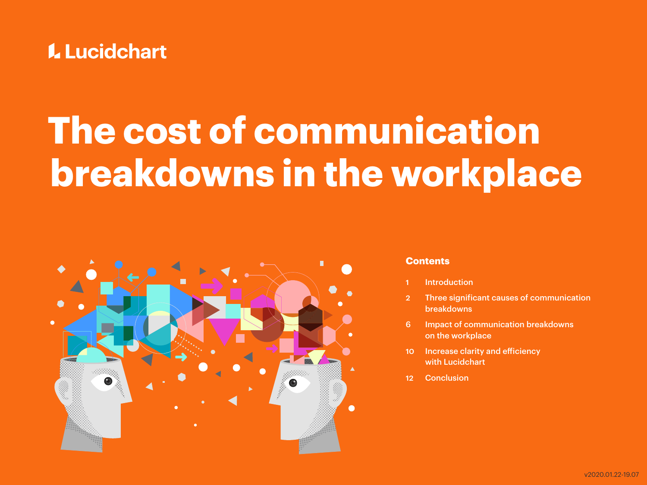

# **The cost of communication breakdowns in the workplace**



#### **Contents**

- **[Introduction](#page-1-0)**
- 2 [Three significant causes of communication](#page-2-0)  [breakdowns](#page-2-0)
- 6 [Impact of communication breakdowns](#page-6-0)  [on the workplace](#page-6-0)
- 10 [Increase clarity and efficiency](#page-10-0)  [with Lucidchart](#page-10-0)
- 12 [Conclusion](#page-12-0)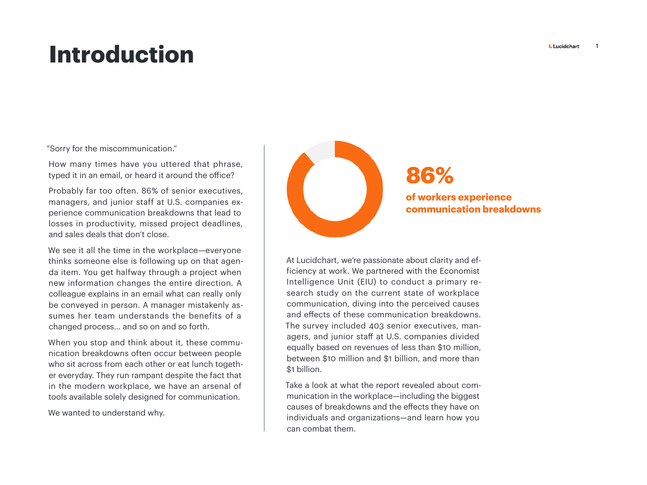### <span id="page-1-0"></span>**Introduction**

"Sorry for the miscommunication."

How many times have you uttered that phrase, typed it in an email, or heard it around the office?

Probably far too often. 86% of senior executives, managers, and junior staff at U.S. companies experience communication breakdowns that lead to losses in productivity, missed project deadlines, and sales deals that don't close.

We see it all the time in the workplace—everyone thinks someone else is following up on that agenda item. You get halfway through a project when new information changes the entire direction. A colleague explains in an email what can really only be conveyed in person. A manager mistakenly assumes her team understands the benefits of a changed process… and so on and so forth.

When you stop and think about it, these communication breakdowns often occur between people who sit across from each other or eat lunch together everyday. They run rampant despite the fact that in the modern workplace, we have an arsenal of tools available solely designed for communication.

We wanted to understand why.



### **86%**

#### **of workers experience communication breakdowns**

At Lucidchart, we're passionate about clarity and efficiency at work. We partnered with the Economist Intelligence Unit (EIU) to conduct a primary research study on the current state of workplace communication, diving into the perceived causes and effects of these communication breakdowns. The survey included 403 senior executives, managers, and junior staff at U.S. companies divided equally based on revenues of less than \$10 million, between \$10 million and \$1 billion, and more than \$1 billion.

Take a look at what the report revealed about communication in the workplace—including the biggest causes of breakdowns and the effects they have on individuals and organizations—and learn how you can combat them.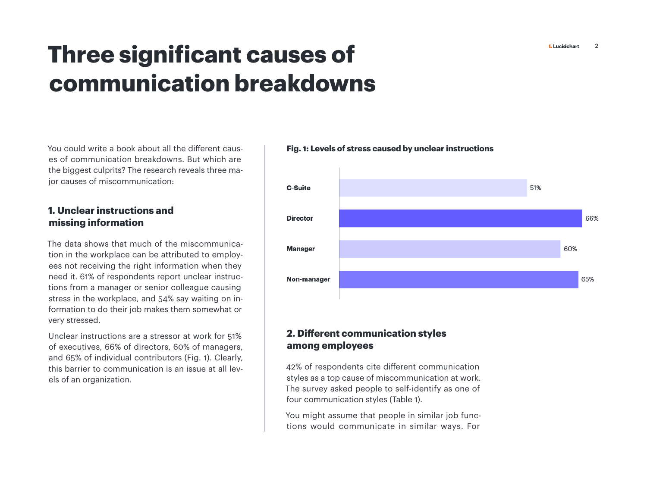## <span id="page-2-0"></span>**Three significant causes of communication breakdowns**

You could write a book about all the different causes of communication breakdowns. But which are the biggest culprits? The research reveals three major causes of miscommunication:

#### **1. Unclear instructions and missing information**

The data shows that much of the miscommunication in the workplace can be attributed to employees not receiving the right information when they need it. 61% of respondents report unclear instructions from a manager or senior colleague causing stress in the workplace, and 54% say waiting on information to do their job makes them somewhat or very stressed.

Unclear instructions are a stressor at work for 51% of executives, 66% of directors, 60% of managers, and 65% of individual contributors (Fig. 1). Clearly, this barrier to communication is an issue at all levels of an organization.

#### **Fig. 1: Levels of stress caused by unclear instructions**



#### **2. Different communication styles among employees**

42% of respondents cite different communication styles as a top cause of miscommunication at work. The survey asked people to self-identify as one of four communication styles (Table 1).

You might assume that people in similar job functions would communicate in similar ways. For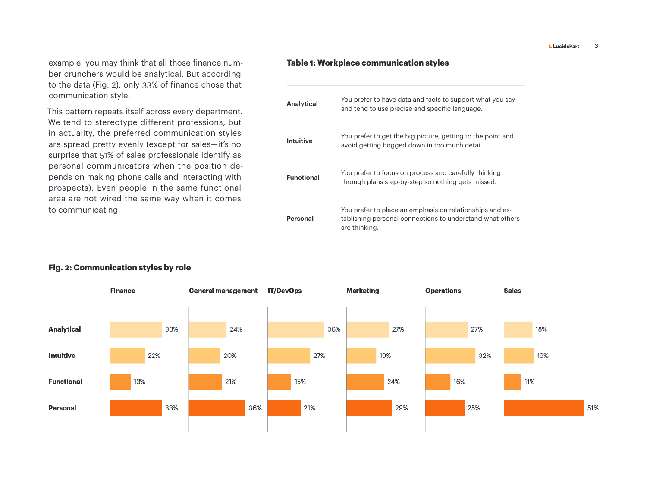example, you may think that all those finance number crunchers would be analytical. But according to the data (Fig. 2), only 33% of finance chose that communication style.

This pattern repeats itself across every department. We tend to stereotype different professions, but in actuality, the preferred communication styles are spread pretty evenly (except for sales—it's no surprise that 51% of sales professionals identify as personal communicators when the position depends on making phone calls and interacting with prospects). Even people in the same functional area are not wired the same way when it comes to communicating.

#### **Table 1: Workplace communication styles**

| <b>Analytical</b> | You prefer to have data and facts to support what you say<br>and tend to use precise and specific language.                            |
|-------------------|----------------------------------------------------------------------------------------------------------------------------------------|
| Intuitive         | You prefer to get the big picture, getting to the point and<br>avoid getting bogged down in too much detail.                           |
| <b>Functional</b> | You prefer to focus on process and carefully thinking<br>through plans step-by-step so nothing gets missed.                            |
| Personal          | You prefer to place an emphasis on relationships and es-<br>tablishing personal connections to understand what others<br>are thinking. |



#### **Fig. 2: Communication styles by role**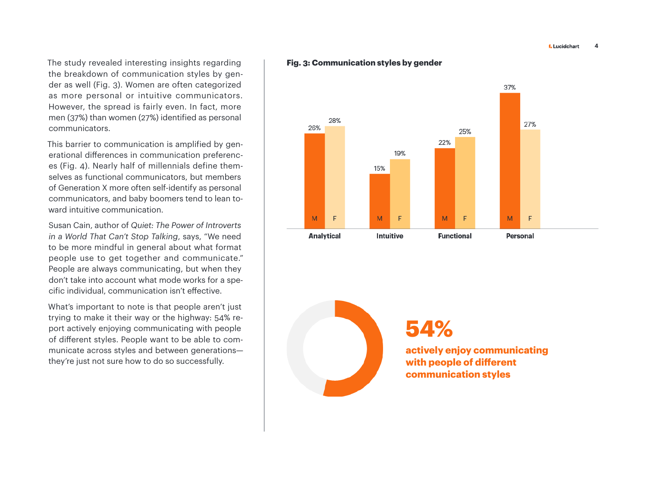**L** Lucidchart 4

The study revealed interesting insights regarding the breakdown of communication styles by gender as well (Fig. 3). Women are often categorized as more personal or intuitive communicators. However, the spread is fairly even. In fact, more men (37%) than women (27%) identified as personal communicators.

This barrier to communication is amplified by generational differences in communication preferences (Fig. 4). Nearly half of millennials define themselves as functional communicators, but members of Generation X more often self-identify as personal communicators, and baby boomers tend to lean toward intuitive communication.

Susan Cain, author of *Quiet: The Power of Introverts in a World That Can't Stop Talking*, says, "We need to be more mindful in general about what format people use to get together and communicate." People are always communicating, but when they don't take into account what mode works for a specific individual, communication isn't effective.

What's important to note is that people aren't just trying to make it their way or the highway: 54% report actively enjoying communicating with people of different styles. People want to be able to communicate across styles and between generations they're just not sure how to do so successfully.

#### **Fig. 3: Communication styles by gender**



**54%**

**actively enjoy communicating with people of different communication styles**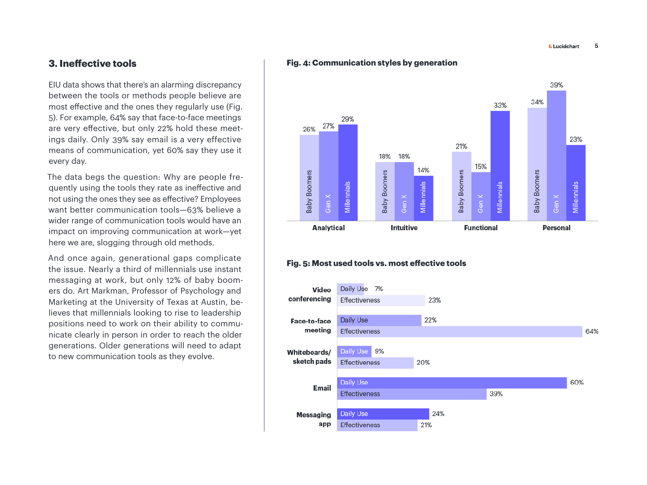#### **3. Ineffective tools**

EIU data shows that there's an alarming discrepancy between the tools or methods people believe are most effective and the ones they regularly use (Fig. 5). For example, 64% say that face-to-face meetings are very effective, but only 22% hold these meetings daily. Only 39% say email is a very effective means of communication, yet 60% say they use it every day.

The data begs the question: Why are people frequently using the tools they rate as ineffective and not using the ones they see as effective? Employees want better communication tools—63% believe a wider range of communication tools would have an impact on improving communication at work—yet here we are, slogging through old methods.

And once again, generational gaps complicate the issue. Nearly a third of millennials use instant messaging at work, but only 12% of baby boomers do. Art Markman, Professor of Psychology and Marketing at the University of Texas at Austin, believes that millennials looking to rise to leadership positions need to work on their ability to communicate clearly in person in order to reach the older generations. Older generations will need to adapt to new communication tools as they evolve.

#### **Fig. 4: Communication styles by generation**



#### **Fig. 5: Most used tools vs. most effective tools**

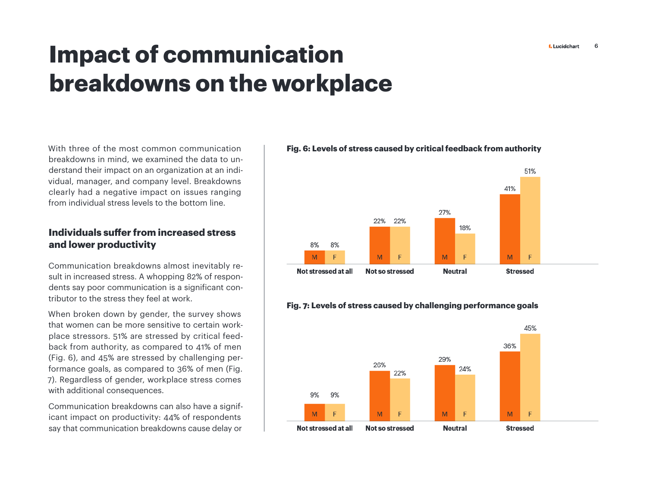# <span id="page-6-0"></span>**Impact of communication breakdowns on the workplace**

With three of the most common communication breakdowns in mind, we examined the data to understand their impact on an organization at an individual, manager, and company level. Breakdowns clearly had a negative impact on issues ranging from individual stress levels to the bottom line.

#### **Individuals suffer from increased stress and lower productivity**

Communication breakdowns almost inevitably result in increased stress. A whopping 82% of respondents say poor communication is a significant contributor to the stress they feel at work.

When broken down by gender, the survey shows that women can be more sensitive to certain workplace stressors. 51% are stressed by critical feedback from authority, as compared to 41% of men (Fig. 6), and 45% are stressed by challenging performance goals, as compared to 36% of men (Fig. 7). Regardless of gender, workplace stress comes with additional consequences.

Communication breakdowns can also have a significant impact on productivity: 44% of respondents say that communication breakdowns cause delay or

#### **Fig. 6: Levels of stress caused by critical feedback from authority**



#### **Fig. 7: Levels of stress caused by challenging performance goals**

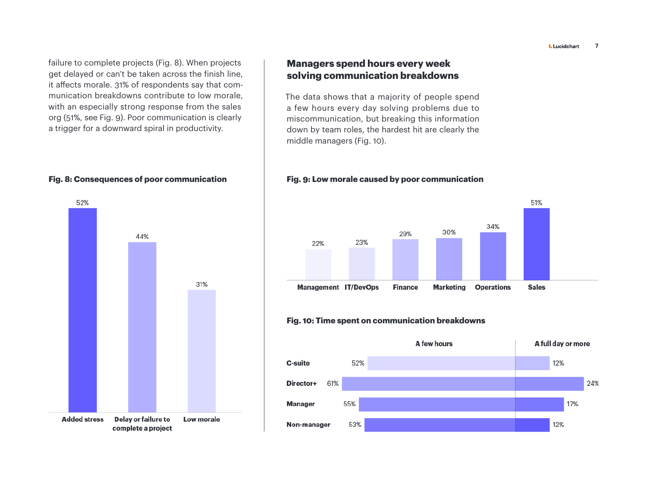**L** Lucidchart 7

failure to complete projects (Fig. 8). When projects get delayed or can't be taken across the finish line, it affects morale. 31% of respondents say that communication breakdowns contribute to low morale, with an especially strong response from the sales org (51%, see Fig. 9). Poor communication is clearly a trigger for a downward spiral in productivity.



#### **Managers spend hours every week solving communication breakdowns**

The data shows that a majority of people spend a few hours every day solving problems due to miscommunication, but breaking this information down by team roles, the hardest hit are clearly the middle managers (Fig. 10).

#### **Fig. 8: Consequences of poor communication Fig. 9: Low morale caused by poor communication**



#### **Fig. 10: Time spent on communication breakdowns**

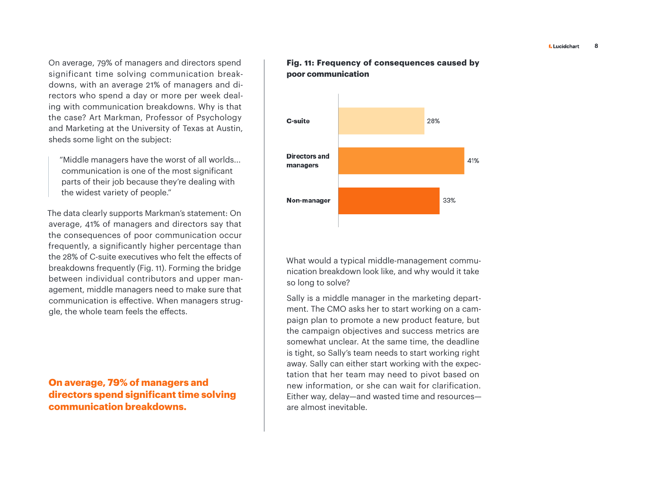On average, 79% of managers and directors spend significant time solving communication breakdowns, with an average 21% of managers and directors who spend a day or more per week dealing with communication breakdowns. Why is that the case? Art Markman, Professor of Psychology and Marketing at the University of Texas at Austin, sheds some light on the subject:

"Middle managers have the worst of all worlds... communication is one of the most significant parts of their job because they're dealing with the widest variety of people."

The data clearly supports Markman's statement: On average, 41% of managers and directors say that the consequences of poor communication occur frequently, a significantly higher percentage than the 28% of C-suite executives who felt the effects of breakdowns frequently (Fig. 11). Forming the bridge between individual contributors and upper management, middle managers need to make sure that communication is effective. When managers struggle, the whole team feels the effects.

**On average, 79% of managers and directors spend significant time solving communication breakdowns.**

#### **Fig. 11: Frequency of consequences caused by poor communication**



What would a typical middle-management communication breakdown look like, and why would it take so long to solve?

Sally is a middle manager in the marketing department. The CMO asks her to start working on a campaign plan to promote a new product feature, but the campaign objectives and success metrics are somewhat unclear. At the same time, the deadline is tight, so Sally's team needs to start working right away. Sally can either start working with the expectation that her team may need to pivot based on new information, or she can wait for clarification. Either way, delay—and wasted time and resources are almost inevitable.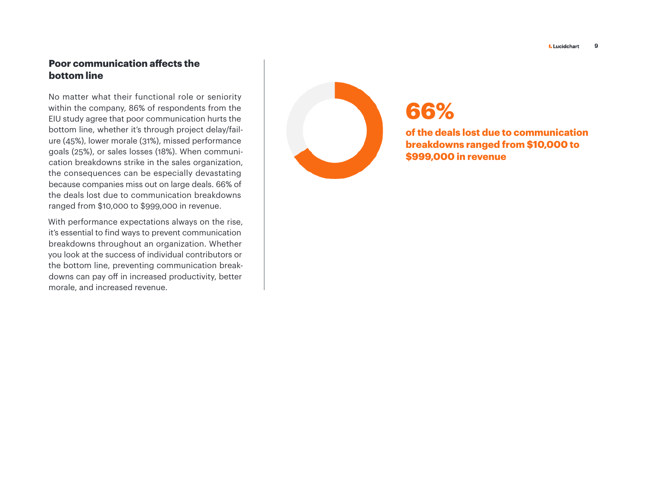#### **Poor communication affects the bottom line**

No matter what their functional role or seniority within the company, 86% of respondents from the EIU study agree that poor communication hurts the bottom line, whether it's through project delay/fail ure (45%), lower morale (31%), missed performance goals (25%), or sales losses (18%). When communi cation breakdowns strike in the sales organization, the consequences can be especially devastating because companies miss out on large deals. 66% of the deals lost due to communication breakdowns ranged from \$10,000 to \$999,000 in revenue.

With performance expectations always on the rise, it's essential to find ways to prevent communication breakdowns throughout an organization. Whether you look at the success of individual contributors or the bottom line, preventing communication break downs can pay off in increased productivity, better morale, and increased revenue.



### **66%**

**of the deals lost due to communication breakdowns ranged from \$10,000 to \$999,000 in revenue**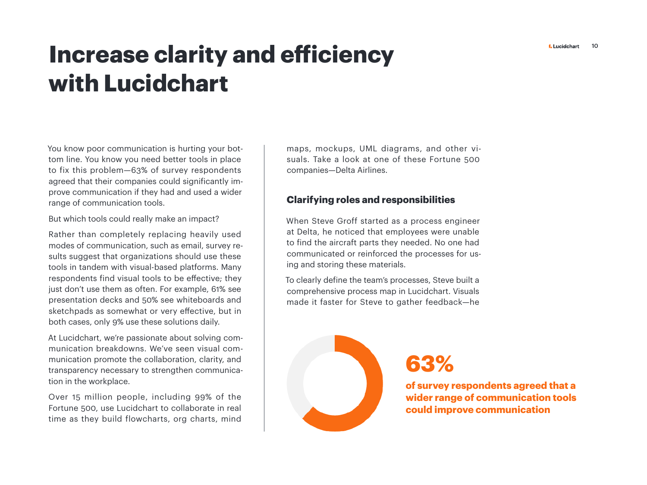# <span id="page-10-0"></span>Increase clarity and efficiency **Exercise Address of Address CL with Lucidchart**

You know poor communication is hurting your bottom line. You know you need better tools in place to fix this problem—63% of survey respondents agreed that their companies could significantly improve communication if they had and used a wider range of communication tools.

But which tools could really make an impact?

Rather than completely replacing heavily used modes of communication, such as email, survey results suggest that organizations should use these tools in tandem with visual-based platforms. Many respondents find visual tools to be effective; they just don't use them as often. For example, 61% see presentation decks and 50% see whiteboards and sketchpads as somewhat or very effective, but in both cases, only 9% use these solutions daily.

At Lucidchart, we're passionate about solving communication breakdowns. We've seen visual communication promote the collaboration, clarity, and transparency necessary to strengthen communication in the workplace.

Over 15 million people, including 99% of the Fortune 500, use Lucidchart to collaborate in real time as they build flowcharts, org charts, mind

maps, mockups, UML diagrams, and other visuals. Take a look at one of these Fortune 500 companies—Delta Airlines.

#### **Clarifying roles and responsibilities**

When Steve Groff started as a process engineer at Delta, he noticed that employees were unable to find the aircraft parts they needed. No one had communicated or reinforced the processes for using and storing these materials.

To clearly define the team's processes, Steve built a comprehensive process map in Lucidchart. Visuals made it faster for Steve to gather feedback—he



**63%**

**of survey respondents agreed that a wider range of communication tools could improve communication**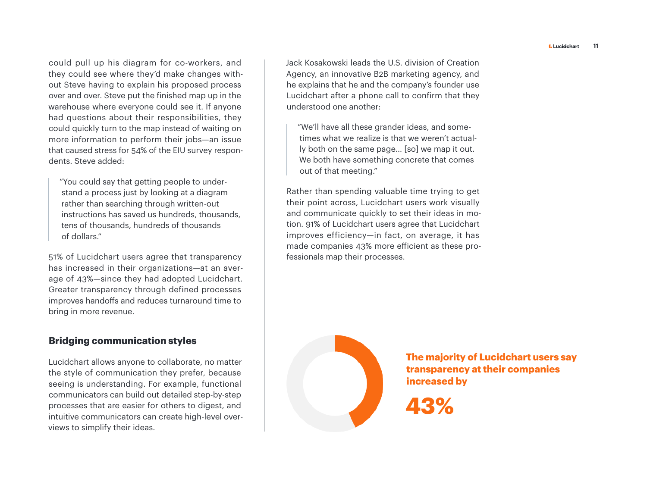could pull up his diagram for co-workers, and they could see where they'd make changes without Steve having to explain his proposed process over and over. Steve put the finished map up in the warehouse where everyone could see it. If anyone had questions about their responsibilities, they could quickly turn to the map instead of waiting on more information to perform their jobs—an issue that caused stress for 54% of the EIU survey respondents. Steve added:

"You could say that getting people to understand a process just by looking at a diagram rather than searching through written-out instructions has saved us hundreds, thousands, tens of thousands, hundreds of thousands of dollars."

51% of Lucidchart users agree that transparency has increased in their organizations—at an average of 43%—since they had adopted Lucidchart. Greater transparency through defined processes improves handoffs and reduces turnaround time to bring in more revenue.

#### **Bridging communication styles**

Lucidchart allows anyone to collaborate, no matter the style of communication they prefer, because seeing is understanding. For example, functional communicators can build out detailed step-by-step processes that are easier for others to digest, and intuitive communicators can create high-level overviews to simplify their ideas.

Jack Kosakowski leads the U.S. division of Creation Agency, an innovative B2B marketing agency, and he explains that he and the company's founder use Lucidchart after a phone call to confirm that they understood one another:

"We'll have all these grander ideas, and sometimes what we realize is that we weren't actually both on the same page… [so] we map it out. We both have something concrete that comes out of that meeting."

Rather than spending valuable time trying to get their point across, Lucidchart users work visually and communicate quickly to set their ideas in motion. 91% of Lucidchart users agree that Lucidchart improves efficiency—in fact, on average, it has made companies 43% more efficient as these professionals map their processes.



**The majority of Lucidchart users say transparency at their companies increased by**

**43%**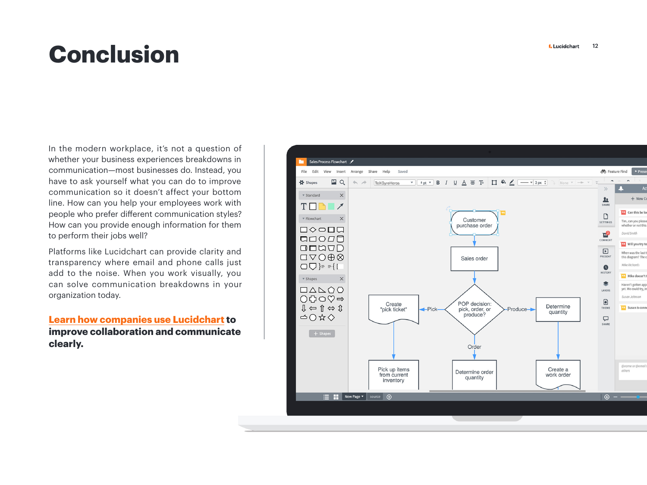## <span id="page-12-0"></span>**Conclusion**

In the modern workplace, it's not a question of whether your business experiences breakdowns in communication—most businesses do. Instead, you have to ask yourself what you can do to improve communication so it doesn't affect your bottom line. How can you help your employees work with people who prefer different communication styles? How can you provide enough information for them to perform their jobs well?

Platforms like Lucidchart can provide clarity and transparency where email and phone calls just add to the noise. When you work visually, you can solve communication breakdowns in your organization today.

**[Learn how companies use Lucidchart](https://d2slcw3kip6qmk.cloudfront.net/marketing/pages/chart/ebooks/collaboration-ebook.pdf) to improve collaboration and communicate clearly.**